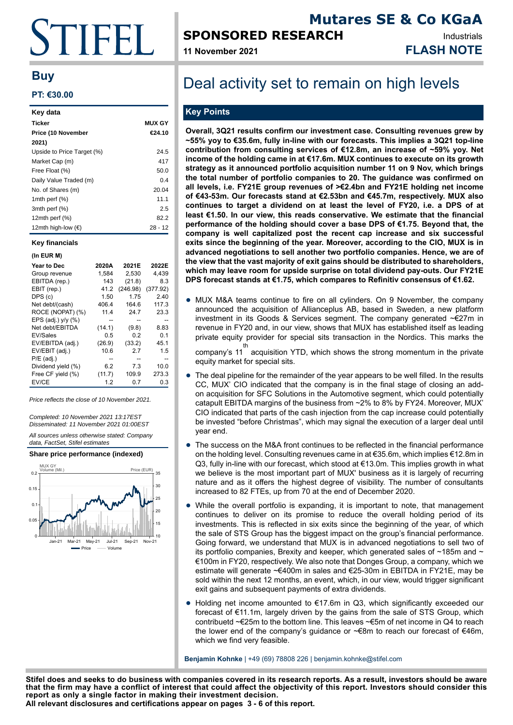# TIFFIL I.

### **Buy**

#### **PT: €30.00**

| Key data                    |               |
|-----------------------------|---------------|
| <b>Ticker</b>               | <b>MUX GY</b> |
| Price (10 November          | €24.10        |
| 2021)                       |               |
| Upside to Price Target (%)  | 24.5          |
| Market Cap (m)              | 417           |
| Free Float (%)              | 50.0          |
| Daily Value Traded (m)      | 0.4           |
| No. of Shares (m)           | 20.04         |
| 1mth perf $(\%)$            | 11.1          |
| 3mth perf (%)               | 2.5           |
| 12 $m$ th perf $(\%)$       | 82.2          |
| 12mth high-low $(\epsilon)$ | $28 - 12$     |

#### **Key financials**

#### **(In EUR M)**

| <b>Year to Dec</b>   | 2020A  | 2021E    | 2022E    |
|----------------------|--------|----------|----------|
| Group revenue        | 1,584  | 2.530    | 4,439    |
| EBITDA (rep.)        | 143    | (21.8)   | 8.3      |
| EBIT (rep.)          | 41.2   | (246.98) | (377.92) |
| DPS (c)              | 1.50   | 1.75     | 2.40     |
| Net debt/(cash)      | 406.4  | 164.6    | 117.3    |
| ROCE (NOPAT) (%)     | 11.4   | 24.7     | 23.3     |
| EPS (adj.) $v/v$ (%) |        |          |          |
| Net debt/EBITDA      | (14.1) | (9.8)    | 8.83     |
| EV/Sales             | 0.5    | 0.2      | 0.1      |
| EV/EBITDA (adj.)     | (26.9) | (33.2)   | 45.1     |
| EV/EBIT (adj.)       | 10.6   | 2.7      | 1.5      |
| $P/E$ (adj.)         |        |          |          |
| Dividend yield (%)   | 6.2    | 7.3      | 10.0     |
| Free CF yield (%)    | (11.7) | 109.9    | 273.3    |
| EV/CE                | 1.2    | 0.7      | 0.3      |
|                      |        |          |          |

Price reflects the close of 10 November 2021.

Completed: 10 November 2021 13:17EST Disseminated: 11 November 2021 01:00EST

All sources unless otherwise stated: Company data, FactSet, Stifel estimates





## **SPONSORED RESEARCH**

**11 November 2021 FLASH NOTE**

### **Mutares SE & Co KGaA** Industrials

## Deal activity set to remain on high levels

### **Key Points**

**Overall, 3Q21 results confirm our investment case. Consulting revenues grew by ~55% yoy to €35.6m, fully in-line with our forecasts. This implies a 3Q21 top-line contribution from consulting services of €12.8m, an increase of ~59% yoy. Net income of the holding came in at €17.6m. MUX continues to execute on its growth strategy as it announced portfolio acquisition number 11 on 9 Nov, which brings the total number of portfolio companies to 20. The guidance was confirmed on all levels, i.e. FY21E group revenues of >€2.4bn and FY21E holding net income of €43-53m. Our forecasts stand at €2.53bn and €45.7m, respectively. MUX also continues to target a dividend on at least the level of FY20, i.e. a DPS of at least €1.50. In our view, this reads conservative. We estimate that the financial performance of the holding should cover a base DPS of €1.75. Beyond that, the company is well capitalized post the recent cap increase and six successful exits since the beginning of the year. Moreover, according to the CIO, MUX is in advanced negotiations to sell another two portfolio companies. Hence, we are of the view that the vast majority of exit gains should be distributed to shareholders, which may leave room for upside surprise on total dividend pay-outs. Our FY21E DPS forecast stands at €1.75, which compares to Refinitiv consensus of €1.62.**

• MUX M&A teams continue to fire on all cylinders. On 9 November, the company announced the acquisition of Allianceplus AB, based in Sweden, a new platform investment in its Goods & Services segment. The company generated ~€27m in revenue in FY20 and, in our view, shows that MUX has established itself as leading private equity provider for special sits transaction in the Nordics. This marks the

company's 11 acquisition YTD, which shows the strong momentum in the private th equity market for special sits.

- The deal pipeline for the remainder of the year appears to be well filled. In the results CC, MUX' CIO indicated that the company is in the final stage of closing an addon acquisition for SFC Solutions in the Automotive segment, which could potentially catapult EBITDA margins of the business from ~2% to 8% by FY24. Moreover, MUX' CIO indicated that parts of the cash injection from the cap increase could potentially be invested "before Christmas", which may signal the execution of a larger deal until year end.
- The success on the M&A front continues to be reflected in the financial performance on the holding level. Consulting revenues came in at €35.6m, which implies €12.8m in Q3, fully in-line with our forecast, which stood at €13.0m. This implies growth in what we believe is the most important part of MUX' business as it is largely of recurring nature and as it offers the highest degree of visibility. The number of consultants increased to 82 FTEs, up from 70 at the end of December 2020.
- While the overall portfolio is expanding, it is important to note, that management continues to deliver on its promise to reduce the overall holding period of its investments. This is reflected in six exits since the beginning of the year, of which the sale of STS Group has the biggest impact on the group's financial performance. Going forward, we understand that MUX is in advanced negotiations to sell two of its portfolio companies, Brexity and keeper, which generated sales of  $\sim$ 185m and  $\sim$ €100m in FY20, respectively. We also note that Donges Group, a company, which we estimate will generate ~€400m in sales and €25-30m in EBITDA in FY21E, may be sold within the next 12 months, an event, which, in our view, would trigger significant exit gains and subsequent payments of extra dividends.
- Holding net income amounted to €17.6m in Q3, which significantly exceeded our forecast of €11.1m, largely driven by the gains from the sale of STS Group, which contribuetd ~€25m to the bottom line. This leaves ~€5m of net income in Q4 to reach the lower end of the company's guidance or ~€8m to reach our forecast of €46m, which we find very feasible.

**Benjamin Kohnke** | +49 (69) 78808 226 | benjamin.kohnke@stifel.com

**Stifel does and seeks to do business with companies covered in its research reports. As a result, investors should be aware that the firm may have a conflict of interest that could affect the objectivity of this report. Investors should consider this report as only a single factor in making their investment decision.**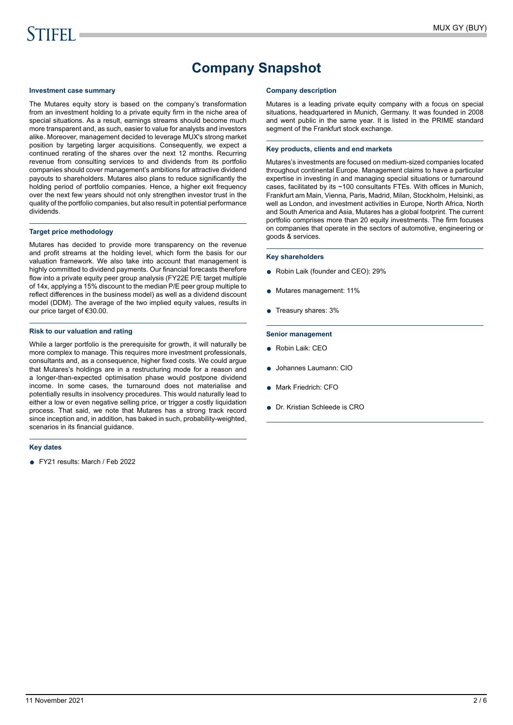## **Company Snapshot**

#### **Investment case summary**

The Mutares equity story is based on the company's transformation from an investment holding to a private equity firm in the niche area of special situations. As a result, earnings streams should become much more transparent and, as such, easier to value for analysts and investors alike. Moreover, management decided to leverage MUX's strong market position by targeting larger acquisitions. Consequently, we expect a continued rerating of the shares over the next 12 months. Recurring revenue from consulting services to and dividends from its portfolio companies should cover management's ambitions for attractive dividend payouts to shareholders. Mutares also plans to reduce significantly the holding period of portfolio companies. Hence, a higher exit frequency over the next few years should not only strengthen investor trust in the quality of the portfolio companies, but also result in potential performance dividends.

#### **Target price methodology**

Mutares has decided to provide more transparency on the revenue and profit streams at the holding level, which form the basis for our valuation framework. We also take into account that management is highly committed to dividend payments. Our financial forecasts therefore flow into a private equity peer group analysis (FY22E P/E target multiple of 14x, applying a 15% discount to the median P/E peer group multiple to reflect differences in the business model) as well as a dividend discount model (DDM). The average of the two implied equity values, results in our price target of €30.00.

#### **Risk to our valuation and rating**

While a larger portfolio is the prerequisite for growth, it will naturally be more complex to manage. This requires more investment professionals, consultants and, as a consequence, higher fixed costs. We could argue that Mutares's holdings are in a restructuring mode for a reason and a longer-than-expected optimisation phase would postpone dividend income. In some cases, the turnaround does not materialise and potentially results in insolvency procedures. This would naturally lead to either a low or even negative selling price, or trigger a costly liquidation process. That said, we note that Mutares has a strong track record since inception and, in addition, has baked in such, probability-weighted, scenarios in its financial guidance.

#### **Key dates**

● FY21 results: March / Feb 2022

#### **Company description**

Mutares is a leading private equity company with a focus on special situations, headquartered in Munich, Germany. It was founded in 2008 and went public in the same year. It is listed in the PRIME standard segment of the Frankfurt stock exchange.

#### **Key products, clients and end markets**

Mutares's investments are focused on medium-sized companies located throughout continental Europe. Management claims to have a particular expertise in investing in and managing special situations or turnaround cases, facilitated by its ~100 consultants FTEs. With offices in Munich, Frankfurt am Main, Vienna, Paris, Madrid, Milan, Stockholm, Helsinki, as well as London, and investment activities in Europe, North Africa, North and South America and Asia, Mutares has a global footprint. The current portfolio comprises more than 20 equity investments. The firm focuses on companies that operate in the sectors of automotive, engineering or goods & services.

#### **Key shareholders**

- Robin Laik (founder and CEO): 29%
- Mutares management: 11%
- Treasury shares: 3%

#### **Senior management**

- Robin Laik: CEO
- Johannes Laumann: CIO
- Mark Friedrich: CFO
- Dr. Kristian Schleede is CRO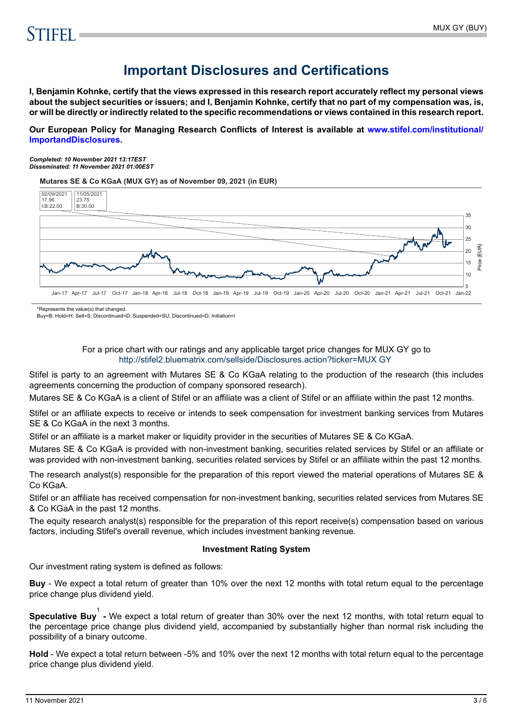## **Important Disclosures and Certifications**

**I, Benjamin Kohnke, certify that the views expressed in this research report accurately reflect my personal views about the subject securities or issuers; and I, Benjamin Kohnke, certify that no part of my compensation was, is, or will be directly or indirectly related to the specific recommendations or views contained in this research report.**

**Our European Policy for Managing Research Conflicts of Interest is available at [www.stifel.com/institutional/](https://www.stifel.com/institutional/ImportantDisclosures) [ImportandDisclosures.](https://www.stifel.com/institutional/ImportantDisclosures)**

*Completed: 10 November 2021 13:17EST Disseminated: 11 November 2021 01:00EST*

**Mutares SE & Co KGaA (MUX GY) as of November 09, 2021 (in EUR)**



\*Represents the value(s) that changed.

Buy=B; Hold=H; Sell=S; Discontinued=D; Suspended=SU; Discontinued=D; Initiation=I

#### For a price chart with our ratings and any applicable target price changes for MUX GY go to <http://stifel2.bluematrix.com/sellside/Disclosures.action?ticker=MUX GY>

Stifel is party to an agreement with Mutares SE & Co KGaA relating to the production of the research (this includes agreements concerning the production of company sponsored research).

Mutares SE & Co KGaA is a client of Stifel or an affiliate was a client of Stifel or an affiliate within the past 12 months.

Stifel or an affiliate expects to receive or intends to seek compensation for investment banking services from Mutares SE & Co KGaA in the next 3 months.

Stifel or an affiliate is a market maker or liquidity provider in the securities of Mutares SE & Co KGaA.

Mutares SE & Co KGaA is provided with non-investment banking, securities related services by Stifel or an affiliate or was provided with non-investment banking, securities related services by Stifel or an affiliate within the past 12 months.

The research analyst(s) responsible for the preparation of this report viewed the material operations of Mutares SE & Co KGaA.

Stifel or an affiliate has received compensation for non-investment banking, securities related services from Mutares SE & Co KGaA in the past 12 months.

The equity research analyst(s) responsible for the preparation of this report receive(s) compensation based on various factors, including Stifel's overall revenue, which includes investment banking revenue.

#### **Investment Rating System**

Our investment rating system is defined as follows:

**Buy** - We expect a total return of greater than 10% over the next 12 months with total return equal to the percentage price change plus dividend yield.

**Speculative Buy**<sup>1</sup> - We expect a total return of greater than 30% over the next 12 months, with total return equal to the percentage price change plus dividend yield, accompanied by substantially higher than normal risk including the possibility of a binary outcome.

**Hold** - We expect a total return between -5% and 10% over the next 12 months with total return equal to the percentage price change plus dividend yield.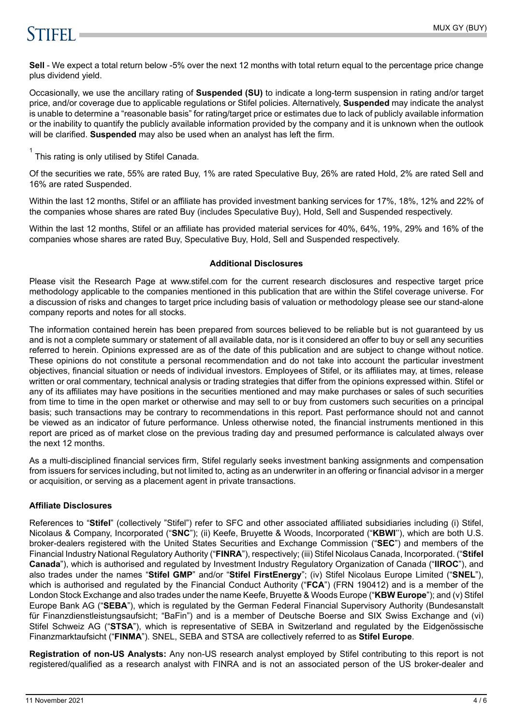## **STIFFI**

**Sell** - We expect a total return below -5% over the next 12 months with total return equal to the percentage price change plus dividend yield.

Occasionally, we use the ancillary rating of **Suspended (SU)** to indicate a long-term suspension in rating and/or target price, and/or coverage due to applicable regulations or Stifel policies. Alternatively, **Suspended** may indicate the analyst is unable to determine a "reasonable basis" for rating/target price or estimates due to lack of publicly available information or the inability to quantify the publicly available information provided by the company and it is unknown when the outlook will be clarified. **Suspended** may also be used when an analyst has left the firm.

 $1$  This rating is only utilised by Stifel Canada.

Of the securities we rate, 55% are rated Buy, 1% are rated Speculative Buy, 26% are rated Hold, 2% are rated Sell and 16% are rated Suspended.

Within the last 12 months, Stifel or an affiliate has provided investment banking services for 17%, 18%, 12% and 22% of the companies whose shares are rated Buy (includes Speculative Buy), Hold, Sell and Suspended respectively.

Within the last 12 months, Stifel or an affiliate has provided material services for 40%, 64%, 19%, 29% and 16% of the companies whose shares are rated Buy, Speculative Buy, Hold, Sell and Suspended respectively.

#### **Additional Disclosures**

Please visit the Research Page at www.stifel.com for the current research disclosures and respective target price methodology applicable to the companies mentioned in this publication that are within the Stifel coverage universe. For a discussion of risks and changes to target price including basis of valuation or methodology please see our stand-alone company reports and notes for all stocks.

The information contained herein has been prepared from sources believed to be reliable but is not guaranteed by us and is not a complete summary or statement of all available data, nor is it considered an offer to buy or sell any securities referred to herein. Opinions expressed are as of the date of this publication and are subject to change without notice. These opinions do not constitute a personal recommendation and do not take into account the particular investment objectives, financial situation or needs of individual investors. Employees of Stifel, or its affiliates may, at times, release written or oral commentary, technical analysis or trading strategies that differ from the opinions expressed within. Stifel or any of its affiliates may have positions in the securities mentioned and may make purchases or sales of such securities from time to time in the open market or otherwise and may sell to or buy from customers such securities on a principal basis; such transactions may be contrary to recommendations in this report. Past performance should not and cannot be viewed as an indicator of future performance. Unless otherwise noted, the financial instruments mentioned in this report are priced as of market close on the previous trading day and presumed performance is calculated always over the next 12 months.

As a multi-disciplined financial services firm, Stifel regularly seeks investment banking assignments and compensation from issuers for services including, but not limited to, acting as an underwriter in an offering or financial advisor in a merger or acquisition, or serving as a placement agent in private transactions.

### **Affiliate Disclosures**

References to "**Stifel**" (collectively "Stifel") refer to SFC and other associated affiliated subsidiaries including (i) Stifel, Nicolaus & Company, Incorporated ("**SNC**"); (ii) Keefe, Bruyette & Woods, Incorporated ("**KBWI**''), which are both U.S. broker-dealers registered with the United States Securities and Exchange Commission ("**SEC**") and members of the Financial Industry National Regulatory Authority ("**FINRA**"), respectively; (iii) Stifel Nicolaus Canada, Incorporated. ("**Stifel Canada**"), which is authorised and regulated by Investment Industry Regulatory Organization of Canada ("**IIROC**"), and also trades under the names "**Stifel GMP**" and/or "**Stifel FirstEnergy**"; (iv) Stifel Nicolaus Europe Limited ("**SNEL**"), which is authorised and regulated by the Financial Conduct Authority ("**FCA**") (FRN 190412) and is a member of the London Stock Exchange and also trades under the name Keefe, Bruyette & Woods Europe ("**KBW Europe**"); and (v) Stifel Europe Bank AG ("**SEBA**"), which is regulated by the German Federal Financial Supervisory Authority (Bundesanstalt für Finanzdienstleistungsaufsicht; "BaFin") and is a member of Deutsche Boerse and SIX Swiss Exchange and (vi) Stifel Schweiz AG ("**STSA**"), which is representative of SEBA in Switzerland and regulated by the Eidgenössische Finanzmarktaufsicht ("**FINMA**"). SNEL, SEBA and STSA are collectively referred to as **Stifel Europe**.

**Registration of non-US Analysts:** Any non-US research analyst employed by Stifel contributing to this report is not registered/qualified as a research analyst with FINRA and is not an associated person of the US broker-dealer and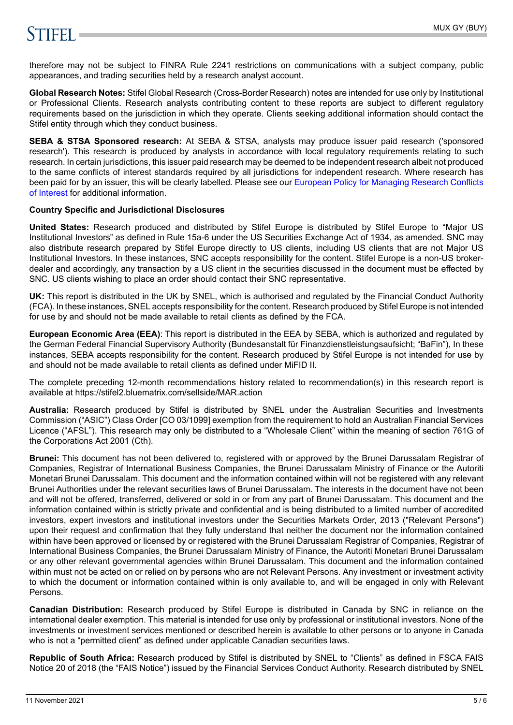## **STIFFLE**

therefore may not be subject to FINRA Rule 2241 restrictions on communications with a subject company, public appearances, and trading securities held by a research analyst account.

**Global Research Notes:** Stifel Global Research (Cross-Border Research) notes are intended for use only by Institutional or Professional Clients. Research analysts contributing content to these reports are subject to different regulatory requirements based on the jurisdiction in which they operate. Clients seeking additional information should contact the Stifel entity through which they conduct business.

**SEBA & STSA Sponsored research:** At SEBA & STSA, analysts may produce issuer paid research ('sponsored research'). This research is produced by analysts in accordance with local regulatory requirements relating to such research. In certain jurisdictions, this issuer paid research may be deemed to be independent research albeit not produced to the same conflicts of interest standards required by all jurisdictions for independent research. Where research has been paid for by an issuer, this will be clearly labelled. Please see our [European Policy for Managing Research Conflicts](https://www.stifel.com/institutional/ImportantDisclosures) [of Interest](https://www.stifel.com/institutional/ImportantDisclosures) for additional information.

#### **Country Specific and Jurisdictional Disclosures**

**United States:** Research produced and distributed by Stifel Europe is distributed by Stifel Europe to "Major US Institutional Investors" as defined in Rule 15a-6 under the US Securities Exchange Act of 1934, as amended. SNC may also distribute research prepared by Stifel Europe directly to US clients, including US clients that are not Major US Institutional Investors. In these instances, SNC accepts responsibility for the content. Stifel Europe is a non-US brokerdealer and accordingly, any transaction by a US client in the securities discussed in the document must be effected by SNC. US clients wishing to place an order should contact their SNC representative.

**UK:** This report is distributed in the UK by SNEL, which is authorised and regulated by the Financial Conduct Authority (FCA). In these instances, SNEL accepts responsibility for the content. Research produced by Stifel Europe is not intended for use by and should not be made available to retail clients as defined by the FCA.

**European Economic Area (EEA)**: This report is distributed in the EEA by SEBA, which is authorized and regulated by the German Federal Financial Supervisory Authority (Bundesanstalt für Finanzdienstleistungsaufsicht; "BaFin"), In these instances, SEBA accepts responsibility for the content. Research produced by Stifel Europe is not intended for use by and should not be made available to retail clients as defined under MiFID II.

The complete preceding 12-month recommendations history related to recommendation(s) in this research report is available at https://stifel2.bluematrix.com/sellside/MAR.action

**Australia:** Research produced by Stifel is distributed by SNEL under the Australian Securities and Investments Commission ("ASIC") Class Order [CO 03/1099] exemption from the requirement to hold an Australian Financial Services Licence ("AFSL"). This research may only be distributed to a "Wholesale Client" within the meaning of section 761G of the Corporations Act 2001 (Cth).

**Brunei:** This document has not been delivered to, registered with or approved by the Brunei Darussalam Registrar of Companies, Registrar of International Business Companies, the Brunei Darussalam Ministry of Finance or the Autoriti Monetari Brunei Darussalam. This document and the information contained within will not be registered with any relevant Brunei Authorities under the relevant securities laws of Brunei Darussalam. The interests in the document have not been and will not be offered, transferred, delivered or sold in or from any part of Brunei Darussalam. This document and the information contained within is strictly private and confidential and is being distributed to a limited number of accredited investors, expert investors and institutional investors under the Securities Markets Order, 2013 ("Relevant Persons") upon their request and confirmation that they fully understand that neither the document nor the information contained within have been approved or licensed by or registered with the Brunei Darussalam Registrar of Companies, Registrar of International Business Companies, the Brunei Darussalam Ministry of Finance, the Autoriti Monetari Brunei Darussalam or any other relevant governmental agencies within Brunei Darussalam. This document and the information contained within must not be acted on or relied on by persons who are not Relevant Persons. Any investment or investment activity to which the document or information contained within is only available to, and will be engaged in only with Relevant Persons.

**Canadian Distribution:** Research produced by Stifel Europe is distributed in Canada by SNC in reliance on the international dealer exemption. This material is intended for use only by professional or institutional investors. None of the investments or investment services mentioned or described herein is available to other persons or to anyone in Canada who is not a "permitted client" as defined under applicable Canadian securities laws.

**Republic of South Africa:** Research produced by Stifel is distributed by SNEL to "Clients" as defined in FSCA FAIS Notice 20 of 2018 (the "FAIS Notice") issued by the Financial Services Conduct Authority. Research distributed by SNEL